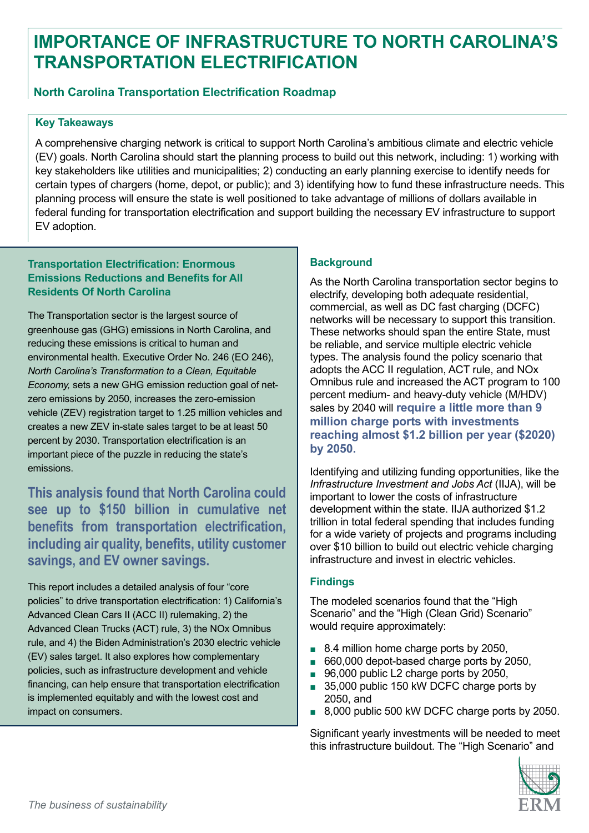# **IMPORTANCE OF INFRASTRUCTURE TO NORTH CAROLINA'S TRANSPORTATION ELECTRIFICATION**

# **North Carolina Transportation Electrification Roadmap**

### **Key Takeaways**

A comprehensive charging network is critical to support North Carolina's ambitious climate and electric vehicle (EV) goals. North Carolina should start the planning process to build out this network, including: 1) working with key stakeholders like utilities and municipalities; 2) conducting an early planning exercise to identify needs for certain types of chargers (home, depot, or public); and 3) identifying how to fund these infrastructure needs. This planning process will ensure the state is well positioned to take advantage of millions of dollars available in federal funding for transportation electrification and support building the necessary EV infrastructure to support EV adoption.

### **Transportation Electrification: Enormous Emissions Reductions and Benefits for All Residents Of North Carolina**

The Transportation sector is the largest source of greenhouse gas (GHG) emissions in North Carolina, and reducing these emissions is critical to human and environmental health. Executive Order No. 246 (EO 246), *North Carolina's Transformation to a Clean, Equitable Economy,* sets a new GHG emission reduction goal of netzero emissions by 2050, increases the zero-emission vehicle (ZEV) registration target to 1.25 million vehicles and creates a new ZEV in-state sales target to be at least 50 percent by 2030. Transportation electrification is an important piece of the puzzle in reducing the state's emissions.

**This analysis found that North Carolina could see up to \$150 billion in cumulative net benefits from transportation electrification, including air quality, benefits, utility customer savings, and EV owner savings.** 

This report includes a detailed analysis of four "core policies" to drive transportation electrification: 1) California's Advanced Clean Cars II (ACC II) rulemaking, 2) the Advanced Clean Trucks (ACT) rule, 3) the NOx Omnibus rule, and 4) the Biden Administration's 2030 electric vehicle (EV) sales target. It also explores how complementary policies, such as infrastructure development and vehicle financing, can help ensure that transportation electrification is implemented equitably and with the lowest cost and impact on consumers.

# **Background**

As the North Carolina transportation sector begins to electrify, developing both adequate residential, commercial, as well as DC fast charging (DCFC) networks will be necessary to support this transition. These networks should span the entire State, must be reliable, and service multiple electric vehicle types. The analysis found the policy scenario that adopts the ACC II regulation, ACT rule, and NOx Omnibus rule and increased the ACT program to 100 percent medium- and heavy-duty vehicle (M/HDV) sales by 2040 will **require a little more than 9 million charge ports with investments reaching almost \$1.2 billion per year (\$2020) by 2050.**

Identifying and utilizing funding opportunities, like the *Infrastructure Investment and Jobs Act* (IIJA), will be important to lower the costs of infrastructure development within the state. IIJA authorized \$1.2 trillion in total federal spending that includes funding for a wide variety of projects and programs including over \$10 billion to build out electric vehicle charging infrastructure and invest in electric vehicles.

# **Findings**

The modeled scenarios found that the "High Scenario" and the "High (Clean Grid) Scenario" would require approximately:

- 8.4 million home charge ports by 2050,
- 660,000 depot-based charge ports by 2050,
- 96,000 public L2 charge ports by 2050,
- 35,000 public 150 kW DCFC charge ports by 2050, and
- 8,000 public 500 kW DCFC charge ports by 2050.

Significant yearly investments will be needed to meet this infrastructure buildout. The "High Scenario" and